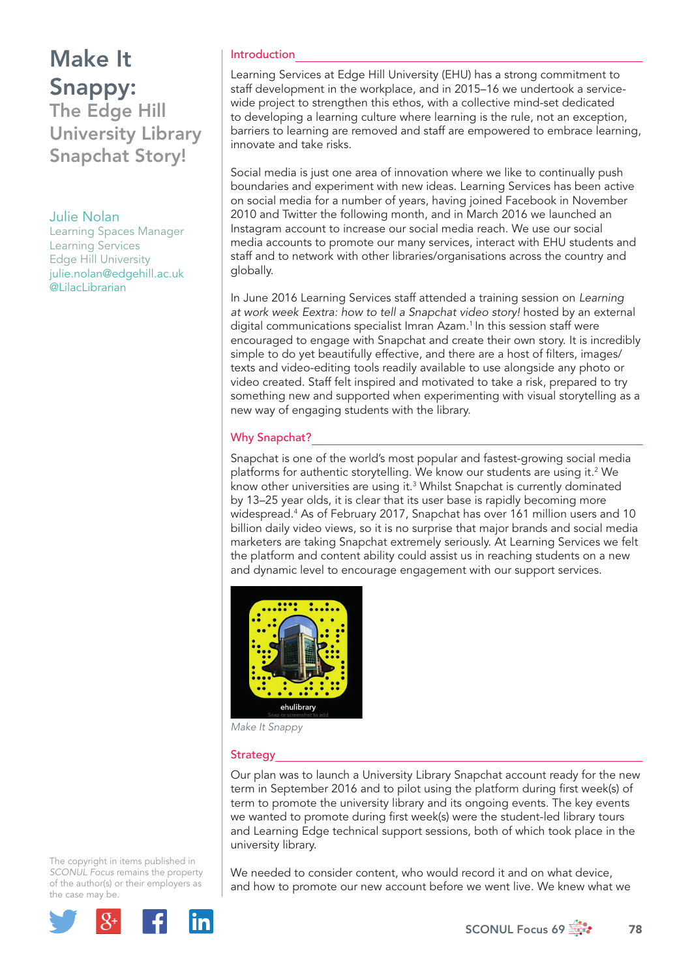# Make It Snappy:

The Edge Hill University Library Snapchat Story!

### Julie Nolan

Learning Spaces Manager Learning Services Edge Hill University julie.nolan@edgehill.ac.uk @LilacLibrarian

### Introduction

Learning Services at Edge Hill University (EHU) has a strong commitment to staff development in the workplace, and in 2015–16 we undertook a servicewide project to strengthen this ethos, with a collective mind-set dedicated to developing a learning culture where learning is the rule, not an exception, barriers to learning are removed and staff are empowered to embrace learning, innovate and take risks.

Social media is just one area of innovation where we like to continually push boundaries and experiment with new ideas. Learning Services has been active on social media for a number of years, having joined Facebook in November 2010 and Twitter the following month, and in March 2016 we launched an Instagram account to increase our social media reach. We use our social media accounts to promote our many services, interact with EHU students and staff and to network with other libraries/organisations across the country and globally.

In June 2016 Learning Services staff attended a training session on *Learning at work week Eextra: how to tell a Snapchat video story!* hosted by an external digital communications specialist Imran Azam.<sup>1</sup> In this session staff were encouraged to engage with Snapchat and create their own story. It is incredibly simple to do yet beautifully effective, and there are a host of filters, images/ texts and video-editing tools readily available to use alongside any photo or video created. Staff felt inspired and motivated to take a risk, prepared to try something new and supported when experimenting with visual storytelling as a new way of engaging students with the library.

### Why Snapchat?

Snapchat is one of the world's most popular and fastest-growing social media platforms for authentic storytelling. We know our students are using it.<sup>2</sup> We know other universities are using it.<sup>3</sup> Whilst Snapchat is currently dominated by 13–25 year olds, it is clear that its user base is rapidly becoming more widespread.4 As of February 2017, Snapchat has over 161 million users and 10 billion daily video views, so it is no surprise that major brands and social media marketers are taking Snapchat extremely seriously. At Learning Services we felt the platform and content ability could assist us in reaching students on a new and dynamic level to encourage engagement with our support services.



*Make It Snappy*

#### **Strategy**

Our plan was to launch a University Library Snapchat account ready for the new term in September 2016 and to pilot using the platform during first week(s) of term to promote the university library and its ongoing events. The key events we wanted to promote during first week(s) were the student-led library tours and Learning Edge technical support sessions, both of which took place in the university library.

The copyright in items published in *SCONUL Focus* remains the property of the author(s) or their employers as the case may be.



We needed to consider content, who would record it and on what device, and how to promote our new account before we went live. We knew what we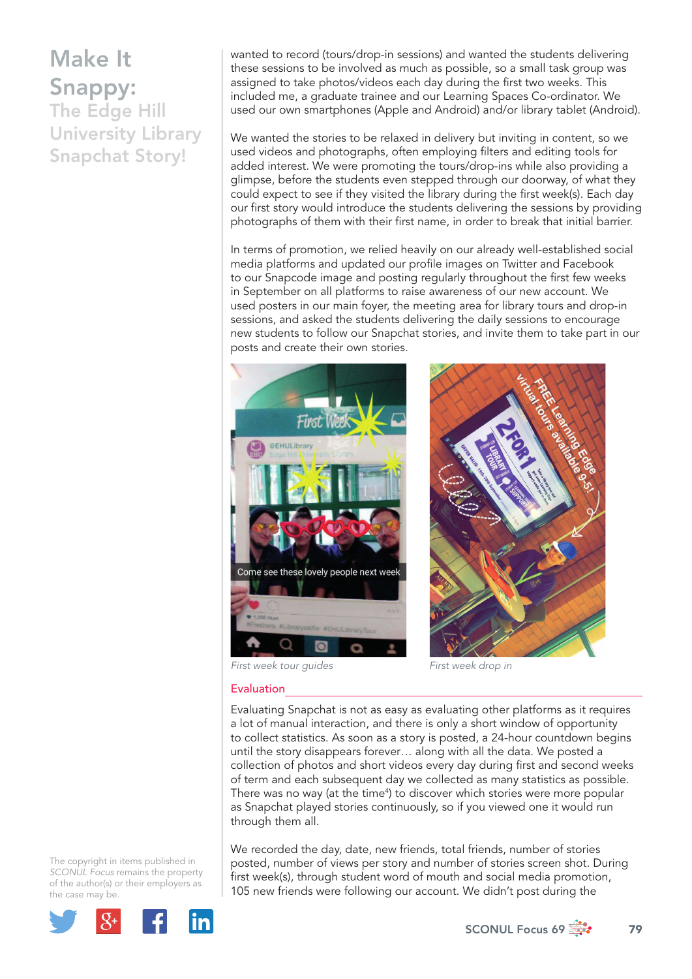# Make It Snappy:

The Edge Hill University Library Snapchat Story!

wanted to record (tours/drop-in sessions) and wanted the students delivering these sessions to be involved as much as possible, so a small task group was assigned to take photos/videos each day during the first two weeks. This included me, a graduate trainee and our Learning Spaces Co-ordinator. We used our own smartphones (Apple and Android) and/or library tablet (Android).

We wanted the stories to be relaxed in delivery but inviting in content, so we used videos and photographs, often employing filters and editing tools for added interest. We were promoting the tours/drop-ins while also providing a glimpse, before the students even stepped through our doorway, of what they could expect to see if they visited the library during the first week(s). Each day our first story would introduce the students delivering the sessions by providing photographs of them with their first name, in order to break that initial barrier.

In terms of promotion, we relied heavily on our already well-established social media platforms and updated our profile images on Twitter and Facebook to our Snapcode image and posting regularly throughout the first few weeks in September on all platforms to raise awareness of our new account. We used posters in our main foyer, the meeting area for library tours and drop-in sessions, and asked the students delivering the daily sessions to encourage new students to follow our Snapchat stories, and invite them to take part in our posts and create their own stories.



*First week tour guides First week drop in*

**Evaluation** 

Evaluating Snapchat is not as easy as evaluating other platforms as it requires a lot of manual interaction, and there is only a short window of opportunity to collect statistics. As soon as a story is posted, a 24-hour countdown begins until the story disappears forever… along with all the data. We posted a collection of photos and short videos every day during first and second weeks of term and each subsequent day we collected as many statistics as possible. There was no way (at the time<sup>4</sup>) to discover which stories were more popular as Snapchat played stories continuously, so if you viewed one it would run through them all.

*SCONUL Focus* remains the property of the author(s) or their employers as We recorded the day, date, new friends, total friends, number of stories posted, number of views per story and number of stories screen shot. During first week(s), through student word of mouth and social media promotion, 105 new friends were following our account. We didn't post during the



The copyright in items published in

the case may be.

SCONUL Focus 69  $\frac{1}{200}$  79